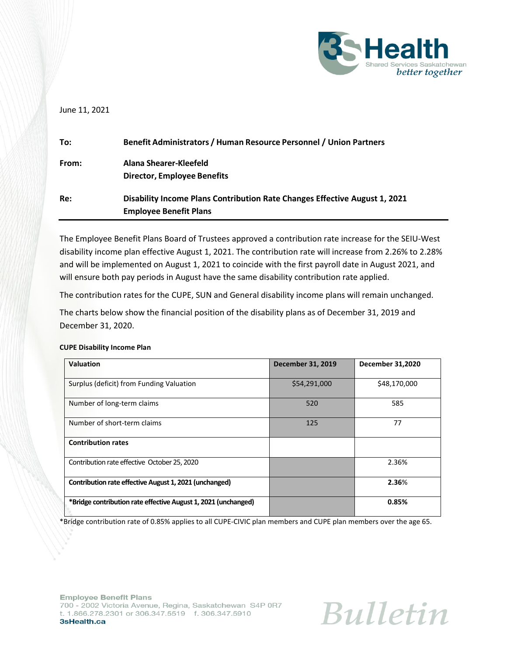

# June 11, 2021

| To:   | Benefit Administrators / Human Resource Personnel / Union Partners         |
|-------|----------------------------------------------------------------------------|
| From: | Alana Shearer-Kleefeld                                                     |
|       | <b>Director, Employee Benefits</b>                                         |
| Re:   | Disability Income Plans Contribution Rate Changes Effective August 1, 2021 |
|       | <b>Employee Benefit Plans</b>                                              |

The Employee Benefit Plans Board of Trustees approved a contribution rate increase for the SEIU-West disability income plan effective August 1, 2021. The contribution rate will increase from 2.26% to 2.28% and will be implemented on August 1, 2021 to coincide with the first payroll date in August 2021, and will ensure both pay periods in August have the same disability contribution rate applied.

The contribution rates for the CUPE, SUN and General disability income plans will remain unchanged.

The charts below show the financial position of the disability plans as of December 31, 2019 and December 31, 2020.

#### **CUPE Disability Income Plan**

| <b>Valuation</b>                                               | <b>December 31, 2019</b> | <b>December 31,2020</b> |
|----------------------------------------------------------------|--------------------------|-------------------------|
| Surplus (deficit) from Funding Valuation                       | \$54,291,000             | \$48,170,000            |
| Number of long-term claims                                     | 520                      | 585                     |
| Number of short-term claims                                    | 125                      | 77                      |
| <b>Contribution rates</b>                                      |                          |                         |
| Contribution rate effective October 25, 2020                   |                          | 2.36%                   |
| Contribution rate effective August 1, 2021 (unchanged)         |                          | 2.36%                   |
| *Bridge contribution rate effective August 1, 2021 (unchanged) |                          | 0.85%                   |

\*Bridge contribution rate of 0.85% applies to all CUPE-CIVIC plan members and CUPE plan members over the age 65.

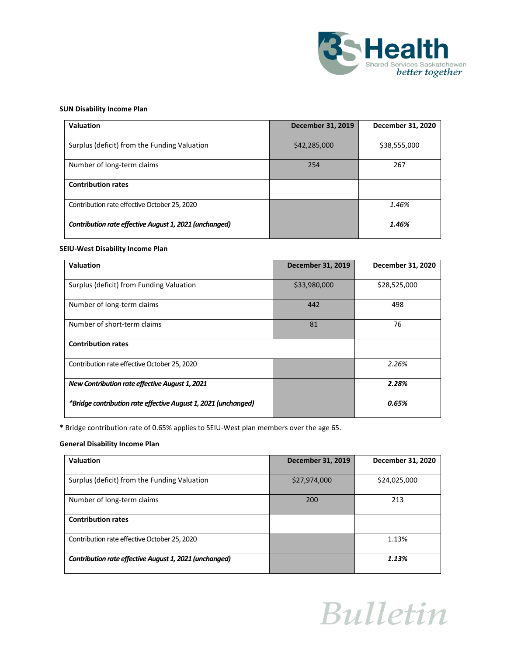

## **SUN Disability Income Plan**

| <b>Valuation</b>                                       | <b>December 31, 2019</b> | December 31, 2020 |
|--------------------------------------------------------|--------------------------|-------------------|
| Surplus (deficit) from the Funding Valuation           | \$42,285,000             | \$38,555,000      |
| Number of long-term claims                             | 254                      | 267               |
| <b>Contribution rates</b>                              |                          |                   |
| Contribution rate effective October 25, 2020           |                          | 1.46%             |
| Contribution rate effective August 1, 2021 (unchanged) |                          | 1.46%             |

#### **SEIU-West Disability Income Plan**

| <b>Valuation</b>                                               | <b>December 31, 2019</b> | December 31, 2020 |
|----------------------------------------------------------------|--------------------------|-------------------|
| Surplus (deficit) from Funding Valuation                       | \$33,980,000             | \$28,525,000      |
| Number of long-term claims                                     | 442                      | 498               |
| Number of short-term claims                                    | 81                       | 76                |
| <b>Contribution rates</b>                                      |                          |                   |
| Contribution rate effective October 25, 2020                   |                          | 2.26%             |
| New Contribution rate effective August 1, 2021                 |                          | 2.28%             |
| *Bridge contribution rate effective August 1, 2021 (unchanged) |                          | 0.65%             |

**\*** Bridge contribution rate of 0.65% applies to SEIU-West plan members over the age 65.

## **General Disability Income Plan**

| Valuation                                              | December 31, 2019 | December 31, 2020 |
|--------------------------------------------------------|-------------------|-------------------|
| Surplus (deficit) from the Funding Valuation           | \$27,974,000      | \$24,025,000      |
| Number of long-term claims                             | 200               | 213               |
| <b>Contribution rates</b>                              |                   |                   |
| Contribution rate effective October 25, 2020           |                   | 1.13%             |
| Contribution rate effective August 1, 2021 (unchanged) |                   | 1.13%             |